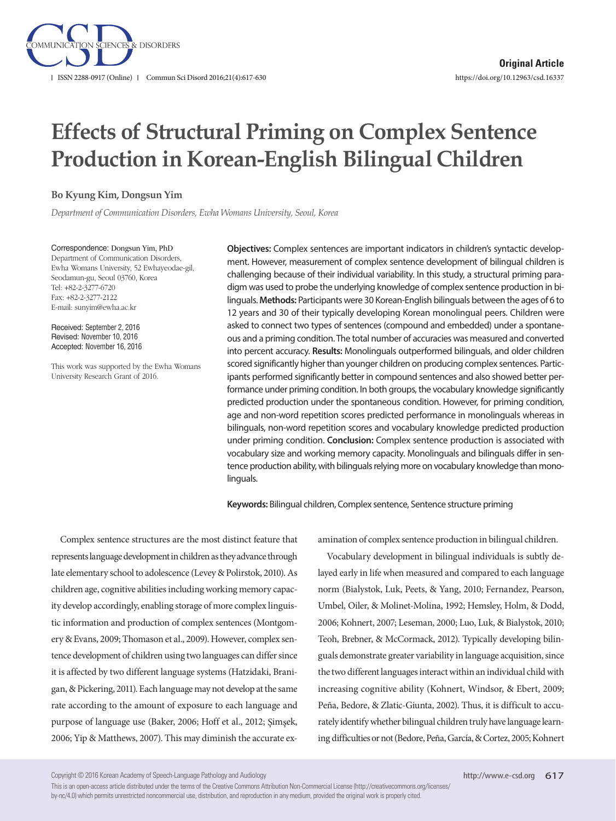

# **Effects of Structural Priming on Complex Sentence Production in Korean-English Bilingual Children**

## **Bo Kyung Kim, Dongsun Yim**

*Department of Communication Disorders, Ewha Womans University, Seoul, Korea*

Correspondence: Dongsun Yim, PhD Department of Communication Disorders, Ewha Womans University, 52 Ewhayeodae-gil, Seodamun-gu, Seoul 03760, Korea Tel: +82-2-3277-6720 Fax: +82-2-3277-2122 E-mail: sunyim@ewha.ac.kr

Received: September 2, 2016 Revised: November 10, 2016 Accepted: November 16, 2016

This work was supported by the Ewha Womans University Research Grant of 2016.

**Objectives:** Complex sentences are important indicators in children's syntactic development. However, measurement of complex sentence development of bilingual children is challenging because of their individual variability. In this study, a structural priming paradigm was used to probe the underlying knowledge of complex sentence production in bilinguals. **Methods:** Participants were 30 Korean-English bilinguals between the ages of 6 to 12 years and 30 of their typically developing Korean monolingual peers. Children were asked to connect two types of sentences (compound and embedded) under a spontaneous and a priming condition. The total number of accuracies was measured and converted into percent accuracy. **Results:** Monolinguals outperformed bilinguals, and older children scored significantly higher than younger children on producing complex sentences. Participants performed significantly better in compound sentences and also showed better performance under priming condition. In both groups, the vocabulary knowledge significantly predicted production under the spontaneous condition. However, for priming condition, age and non-word repetition scores predicted performance in monolinguals whereas in bilinguals, non-word repetition scores and vocabulary knowledge predicted production under priming condition. **Conclusion:** Complex sentence production is associated with vocabulary size and working memory capacity. Monolinguals and bilinguals differ in sentence production ability, with bilinguals relying more on vocabulary knowledge than monolinguals.

**Keywords:** Bilingual children, Complex sentence, Sentence structure priming

Complex sentence structures are the most distinct feature that represents language development in children as they advance through late elementary school to adolescence (Levey & Polirstok, 2010). As children age, cognitive abilities including working memory capacity develop accordingly, enabling storage of more complex linguistic information and production of complex sentences (Montgomery & Evans, 2009; Thomason et al., 2009). However, complex sentence development of children using two languages can differ since it is affected by two different language systems (Hatzidaki, Branigan, & Pickering, 2011). Each language may not develop at the same rate according to the amount of exposure to each language and purpose of language use (Baker, 2006; Hoff et al., 2012; Şimşek, 2006; Yip & Matthews, 2007). This may diminish the accurate examination of complex sentence production in bilingual children.

Vocabulary development in bilingual individuals is subtly delayed early in life when measured and compared to each language norm (Bialystok, Luk, Peets, & Yang, 2010; Fernandez, Pearson, Umbel, Oiler, & Molinet-Molina, 1992; Hemsley, Holm, & Dodd, 2006; Kohnert, 2007; Leseman, 2000; Luo, Luk, & Bialystok, 2010; Teoh, Brebner, & McCormack, 2012). Typically developing bilinguals demonstrate greater variability in language acquisition, since the two different languages interact within an individual child with increasing cognitive ability (Kohnert, Windsor, & Ebert, 2009; Peña, Bedore, & Zlatic-Giunta, 2002). Thus, it is difficult to accurately identify whether bilingual children truly have language learning difficulties or not (Bedore, Peña, García, & Cortez, 2005; Kohnert

Copyright © 2016 Korean Academy of Speech-Language Pathology and Audiology

This is an open-access article distributed under the terms of the Creative Commons Attribution Non-Commercial License (http://creativecommons.org/licenses/ by-nc/4.0) which permits unrestricted noncommercial use, distribution, and reproduction in any medium, provided the original work is properly cited.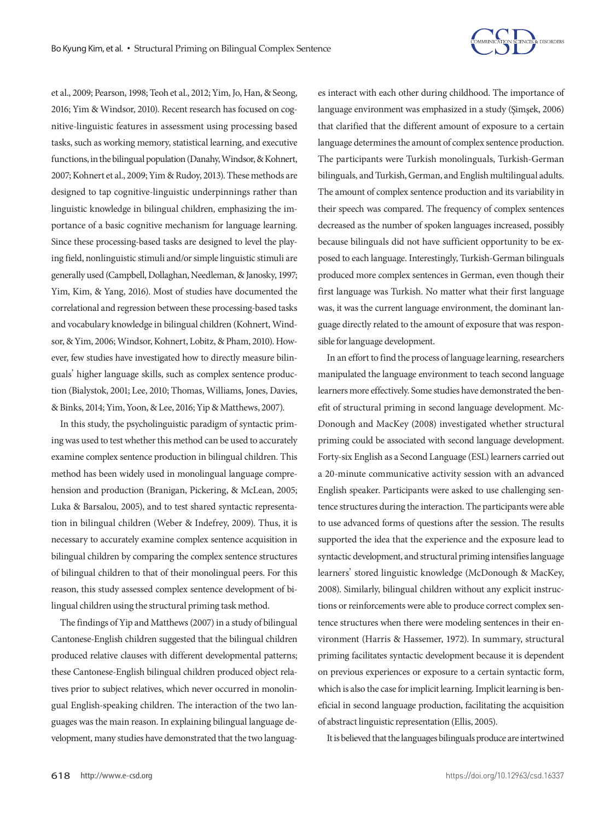

et al., 2009; Pearson, 1998; Teoh et al., 2012; Yim, Jo, Han, & Seong, 2016; Yim & Windsor, 2010). Recent research has focused on cognitive-linguistic features in assessment using processing based tasks, such as working memory, statistical learning, and executive functions, in the bilingual population (Danahy, Windsor, & Kohnert, 2007; Kohnert et al., 2009; Yim & Rudoy, 2013). These methods are designed to tap cognitive-linguistic underpinnings rather than linguistic knowledge in bilingual children, emphasizing the importance of a basic cognitive mechanism for language learning. Since these processing-based tasks are designed to level the playing field, nonlinguistic stimuli and/or simple linguistic stimuli are generally used (Campbell, Dollaghan, Needleman, & Janosky, 1997; Yim, Kim, & Yang, 2016). Most of studies have documented the correlational and regression between these processing-based tasks and vocabulary knowledge in bilingual children (Kohnert, Windsor, & Yim, 2006; Windsor, Kohnert, Lobitz, & Pham, 2010). However, few studies have investigated how to directly measure bilinguals' higher language skills, such as complex sentence production (Bialystok, 2001; Lee, 2010; Thomas, Williams, Jones, Davies, & Binks, 2014; Yim, Yoon, & Lee, 2016; Yip & Matthews, 2007).

In this study, the psycholinguistic paradigm of syntactic priming was used to test whether this method can be used to accurately examine complex sentence production in bilingual children. This method has been widely used in monolingual language comprehension and production (Branigan, Pickering, & McLean, 2005; Luka & Barsalou, 2005), and to test shared syntactic representation in bilingual children (Weber & Indefrey, 2009). Thus, it is necessary to accurately examine complex sentence acquisition in bilingual children by comparing the complex sentence structures of bilingual children to that of their monolingual peers. For this reason, this study assessed complex sentence development of bilingual children using the structural priming task method.

The findings of Yip and Matthews (2007) in a study of bilingual Cantonese-English children suggested that the bilingual children produced relative clauses with different developmental patterns; these Cantonese-English bilingual children produced object relatives prior to subject relatives, which never occurred in monolingual English-speaking children. The interaction of the two languages was the main reason. In explaining bilingual language development, many studies have demonstrated that the two languages interact with each other during childhood. The importance of language environment was emphasized in a study (Şimşek, 2006) that clarified that the different amount of exposure to a certain language determines the amount of complex sentence production. The participants were Turkish monolinguals, Turkish-German bilinguals, and Turkish, German, and English multilingual adults. The amount of complex sentence production and its variability in their speech was compared. The frequency of complex sentences decreased as the number of spoken languages increased, possibly because bilinguals did not have sufficient opportunity to be exposed to each language. Interestingly, Turkish-German bilinguals produced more complex sentences in German, even though their first language was Turkish. No matter what their first language was, it was the current language environment, the dominant language directly related to the amount of exposure that was responsible for language development.

In an effort to find the process of language learning, researchers manipulated the language environment to teach second language learners more effectively. Some studies have demonstrated the benefit of structural priming in second language development. Mc-Donough and MacKey (2008) investigated whether structural priming could be associated with second language development. Forty-six English as a Second Language (ESL) learners carried out a 20-minute communicative activity session with an advanced English speaker. Participants were asked to use challenging sentence structures during the interaction. The participants were able to use advanced forms of questions after the session. The results supported the idea that the experience and the exposure lead to syntactic development, and structural priming intensifies language learners' stored linguistic knowledge (McDonough & MacKey, 2008). Similarly, bilingual children without any explicit instructions or reinforcements were able to produce correct complex sentence structures when there were modeling sentences in their environment (Harris & Hassemer, 1972). In summary, structural priming facilitates syntactic development because it is dependent on previous experiences or exposure to a certain syntactic form, which is also the case for implicit learning. Implicit learning is beneficial in second language production, facilitating the acquisition of abstract linguistic representation (Ellis, 2005).

It is believed that the languages bilinguals produce are intertwined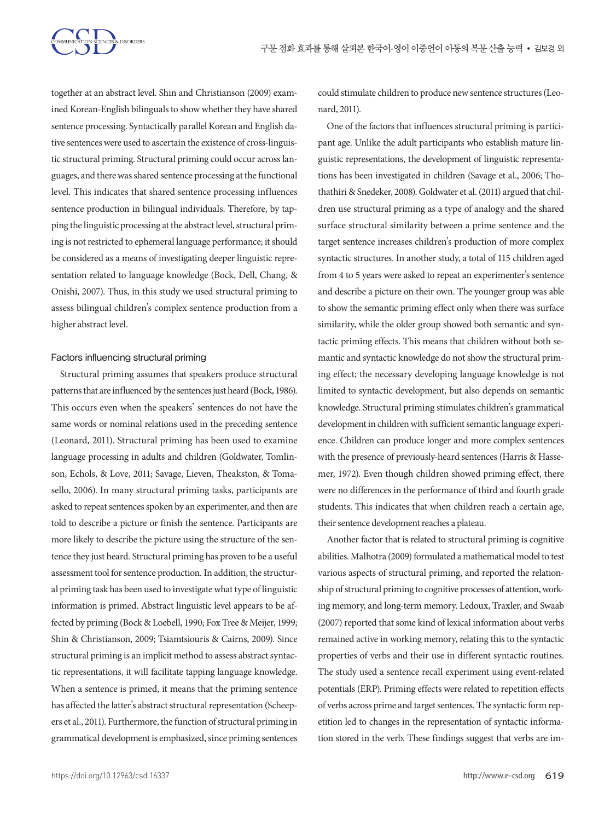

together at an abstract level. Shin and Christianson (2009) examined Korean-English bilinguals to show whether they have shared sentence processing. Syntactically parallel Korean and English dative sentences were used to ascertain the existence of cross-linguistic structural priming. Structural priming could occur across languages, and there was shared sentence processing at the functional level. This indicates that shared sentence processing influences sentence production in bilingual individuals. Therefore, by tapping the linguistic processing at the abstract level, structural priming is not restricted to ephemeral language performance; it should be considered as a means of investigating deeper linguistic representation related to language knowledge (Bock, Dell, Chang, & Onishi, 2007). Thus, in this study we used structural priming to assess bilingual children's complex sentence production from a higher abstract level.

## Factors influencing structural priming

Structural priming assumes that speakers produce structural patterns that are influenced by the sentences just heard (Bock, 1986). This occurs even when the speakers' sentences do not have the same words or nominal relations used in the preceding sentence (Leonard, 2011). Structural priming has been used to examine language processing in adults and children (Goldwater, Tomlinson, Echols, & Love, 2011; Savage, Lieven, Theakston, & Tomasello, 2006). In many structural priming tasks, participants are asked to repeat sentences spoken by an experimenter, and then are told to describe a picture or finish the sentence. Participants are more likely to describe the picture using the structure of the sentence they just heard. Structural priming has proven to be a useful assessment tool for sentence production. In addition, the structural priming task has been used to investigate what type of linguistic information is primed. Abstract linguistic level appears to be affected by priming (Bock & Loebell, 1990; Fox Tree & Meijer, 1999; Shin & Christianson, 2009; Tsiamtsiouris & Cairns, 2009). Since structural priming is an implicit method to assess abstract syntactic representations, it will facilitate tapping language knowledge. When a sentence is primed, it means that the priming sentence has affected the latter's abstract structural representation (Scheepers et al., 2011). Furthermore, the function of structural priming in grammatical development is emphasized, since priming sentences

could stimulate children to produce new sentence structures (Leonard, 2011).

One of the factors that influences structural priming is participant age. Unlike the adult participants who establish mature linguistic representations, the development of linguistic representations has been investigated in children (Savage et al., 2006; Thothathiri & Snedeker, 2008). Goldwater et al. (2011) argued that children use structural priming as a type of analogy and the shared surface structural similarity between a prime sentence and the target sentence increases children's production of more complex syntactic structures. In another study, a total of 115 children aged from 4 to 5 years were asked to repeat an experimenter's sentence and describe a picture on their own. The younger group was able to show the semantic priming effect only when there was surface similarity, while the older group showed both semantic and syntactic priming effects. This means that children without both semantic and syntactic knowledge do not show the structural priming effect; the necessary developing language knowledge is not limited to syntactic development, but also depends on semantic knowledge. Structural priming stimulates children's grammatical development in children with sufficient semantic language experience. Children can produce longer and more complex sentences with the presence of previously-heard sentences (Harris & Hassemer, 1972). Even though children showed priming effect, there were no differences in the performance of third and fourth grade students. This indicates that when children reach a certain age, their sentence development reaches a plateau.

Another factor that is related to structural priming is cognitive abilities. Malhotra (2009) formulated a mathematical model to test various aspects of structural priming, and reported the relationship of structural priming to cognitive processes of attention, working memory, and long-term memory. Ledoux, Traxler, and Swaab (2007) reported that some kind of lexical information about verbs remained active in working memory, relating this to the syntactic properties of verbs and their use in different syntactic routines. The study used a sentence recall experiment using event-related potentials (ERP). Priming effects were related to repetition effects of verbs across prime and target sentences. The syntactic form repetition led to changes in the representation of syntactic information stored in the verb. These findings suggest that verbs are im-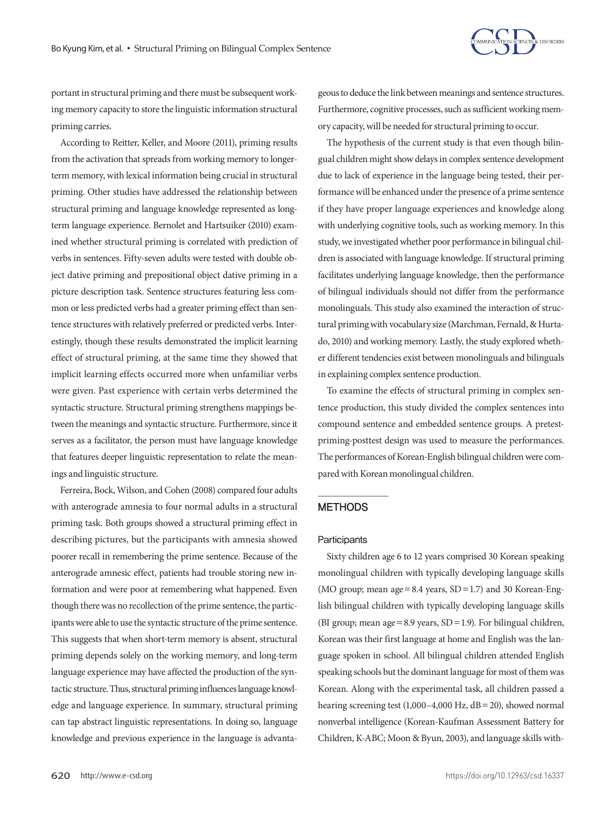

portant in structural priming and there must be subsequent working memory capacity to store the linguistic information structural priming carries.

According to Reitter, Keller, and Moore (2011), priming results from the activation that spreads from working memory to longerterm memory, with lexical information being crucial in structural priming. Other studies have addressed the relationship between structural priming and language knowledge represented as longterm language experience. Bernolet and Hartsuiker (2010) examined whether structural priming is correlated with prediction of verbs in sentences. Fifty-seven adults were tested with double object dative priming and prepositional object dative priming in a picture description task. Sentence structures featuring less common or less predicted verbs had a greater priming effect than sentence structures with relatively preferred or predicted verbs. Interestingly, though these results demonstrated the implicit learning effect of structural priming, at the same time they showed that implicit learning effects occurred more when unfamiliar verbs were given. Past experience with certain verbs determined the syntactic structure. Structural priming strengthens mappings between the meanings and syntactic structure. Furthermore, since it serves as a facilitator, the person must have language knowledge that features deeper linguistic representation to relate the meanings and linguistic structure.

Ferreira, Bock, Wilson, and Cohen (2008) compared four adults with anterograde amnesia to four normal adults in a structural priming task. Both groups showed a structural priming effect in describing pictures, but the participants with amnesia showed poorer recall in remembering the prime sentence. Because of the anterograde amnesic effect, patients had trouble storing new information and were poor at remembering what happened. Even though there was no recollection of the prime sentence, the participants were able to use the syntactic structure of the prime sentence. This suggests that when short-term memory is absent, structural priming depends solely on the working memory, and long-term language experience may have affected the production of the syntactic structure. Thus, structural priming influences language knowledge and language experience. In summary, structural priming can tap abstract linguistic representations. In doing so, language knowledge and previous experience in the language is advantageous to deduce the link between meanings and sentence structures. Furthermore, cognitive processes, such as sufficient working memory capacity, will be needed for structural priming to occur.

The hypothesis of the current study is that even though bilingual children might show delays in complex sentence development due to lack of experience in the language being tested, their performance will be enhanced under the presence of a prime sentence if they have proper language experiences and knowledge along with underlying cognitive tools, such as working memory. In this study, we investigated whether poor performance in bilingual children is associated with language knowledge. If structural priming facilitates underlying language knowledge, then the performance of bilingual individuals should not differ from the performance monolinguals. This study also examined the interaction of structural priming with vocabulary size (Marchman, Fernald, & Hurtado, 2010) and working memory. Lastly, the study explored whether different tendencies exist between monolinguals and bilinguals in explaining complex sentence production.

To examine the effects of structural priming in complex sentence production, this study divided the complex sentences into compound sentence and embedded sentence groups. A pretestpriming-posttest design was used to measure the performances. The performances of Korean-English bilingual children were compared with Korean monolingual children.

#### **METHODS**

## **Participants**

Sixty children age 6 to 12 years comprised 30 Korean speaking monolingual children with typically developing language skills (MO group; mean age =  $8.4$  years,  $SD = 1.7$ ) and 30 Korean-English bilingual children with typically developing language skills (BI group; mean age=8.9 years, SD=1.9). For bilingual children, Korean was their first language at home and English was the language spoken in school. All bilingual children attended English speaking schools but the dominant language for most of them was Korean. Along with the experimental task, all children passed a hearing screening test (1,000–4,000 Hz, dB=20), showed normal nonverbal intelligence (Korean-Kaufman Assessment Battery for Children, K-ABC; Moon & Byun, 2003), and language skills with-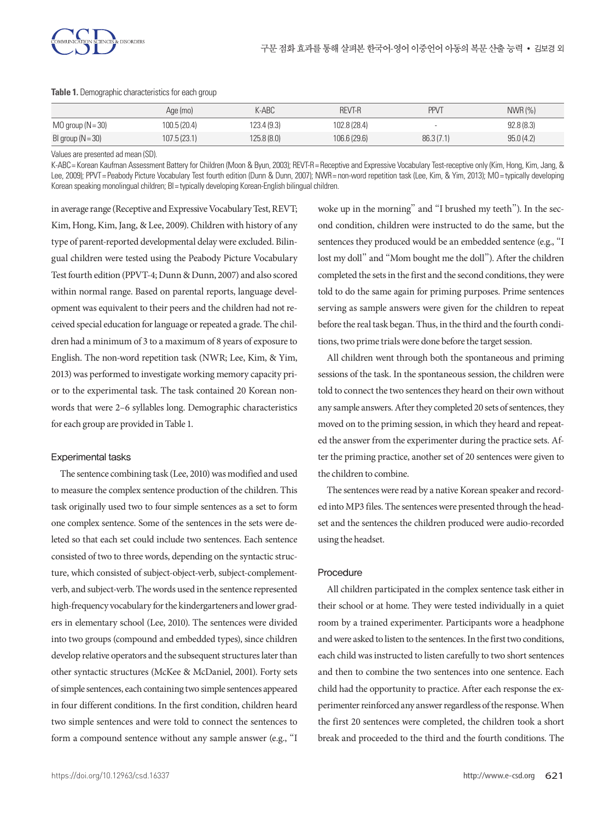

|                       | Age (mo)     | $K-ABC$     | <b>REVT-R</b> | <b>PPVT</b> | $NWR$ $(\% )$ |
|-----------------------|--------------|-------------|---------------|-------------|---------------|
| $MO$ group $(N = 30)$ | 100.5 (20.4) | 123.4 (9.3) | 102.8 (28.4)  |             | 92.8(8.3)     |
| BI group $(N = 30)$   | 107.5(23.1)  | 125.8(8.0)  | 106.6(29.6)   | 86.3(7.1)   | 95.0(4.2)     |

#### **Table 1.** Demographic characteristics for each group

Values are presented ad mean (SD).

K-ABC= Korean Kaufman Assessment Battery for Children (Moon & Byun, 2003); REVT-R= Receptive and Expressive Vocabulary Test-receptive only (Kim, Hong, Kim, Jang, & Lee, 2009); PPVT= Peabody Picture Vocabulary Test fourth edition (Dunn & Dunn, 2007); NWR= non-word repetition task (Lee, Kim, & Yim, 2013); MO= typically developing Korean speaking monolingual children; BI = typically developing Korean-English bilingual children.

in average range (Receptive and Expressive Vocabulary Test, REVT; Kim, Hong, Kim, Jang, & Lee, 2009). Children with history of any type of parent-reported developmental delay were excluded. Bilingual children were tested using the Peabody Picture Vocabulary Test fourth edition (PPVT-4; Dunn & Dunn, 2007) and also scored within normal range. Based on parental reports, language development was equivalent to their peers and the children had not received special education for language or repeated a grade. The children had a minimum of 3 to a maximum of 8 years of exposure to English. The non-word repetition task (NWR; Lee, Kim, & Yim, 2013) was performed to investigate working memory capacity prior to the experimental task. The task contained 20 Korean nonwords that were 2–6 syllables long. Demographic characteristics for each group are provided in Table 1.

## Experimental tasks

The sentence combining task (Lee, 2010) was modified and used to measure the complex sentence production of the children. This task originally used two to four simple sentences as a set to form one complex sentence. Some of the sentences in the sets were deleted so that each set could include two sentences. Each sentence consisted of two to three words, depending on the syntactic structure, which consisted of subject-object-verb, subject-complementverb, and subject-verb. The words used in the sentence represented high-frequency vocabulary for the kindergarteners and lower graders in elementary school (Lee, 2010). The sentences were divided into two groups (compound and embedded types), since children develop relative operators and the subsequent structures later than other syntactic structures (McKee & McDaniel, 2001). Forty sets of simple sentences, each containing two simple sentences appeared in four different conditions. In the first condition, children heard two simple sentences and were told to connect the sentences to form a compound sentence without any sample answer (e.g., "I

woke up in the morning" and "I brushed my teeth"). In the second condition, children were instructed to do the same, but the sentences they produced would be an embedded sentence (e.g., "I lost my doll" and "Mom bought me the doll"). After the children completed the sets in the first and the second conditions, they were told to do the same again for priming purposes. Prime sentences serving as sample answers were given for the children to repeat before the real task began. Thus, in the third and the fourth conditions, two prime trials were done before the target session.

All children went through both the spontaneous and priming sessions of the task. In the spontaneous session, the children were told to connect the two sentences they heard on their own without any sample answers. After they completed 20 sets of sentences, they moved on to the priming session, in which they heard and repeated the answer from the experimenter during the practice sets. After the priming practice, another set of 20 sentences were given to the children to combine.

The sentences were read by a native Korean speaker and recorded into MP3 files. The sentences were presented through the headset and the sentences the children produced were audio-recorded using the headset.

## Procedure

All children participated in the complex sentence task either in their school or at home. They were tested individually in a quiet room by a trained experimenter. Participants wore a headphone and were asked to listen to the sentences. In the first two conditions, each child was instructed to listen carefully to two short sentences and then to combine the two sentences into one sentence. Each child had the opportunity to practice. After each response the experimenter reinforced any answer regardless of the response. When the first 20 sentences were completed, the children took a short break and proceeded to the third and the fourth conditions. The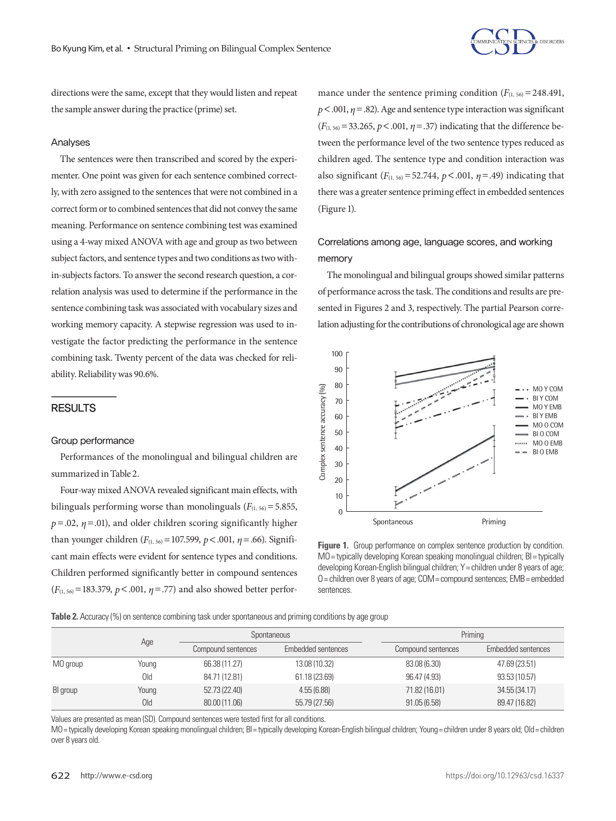

directions were the same, except that they would listen and repeat the sample answer during the practice (prime) set.

## Analyses

The sentences were then transcribed and scored by the experimenter. One point was given for each sentence combined correctly, with zero assigned to the sentences that were not combined in a correct form or to combined sentences that did not convey the same meaning. Performance on sentence combining test was examined using a 4-way mixed ANOVA with age and group as two between subject factors, and sentence types and two conditions as two within-subjects factors. To answer the second research question, a correlation analysis was used to determine if the performance in the sentence combining task was associated with vocabulary sizes and working memory capacity. A stepwise regression was used to investigate the factor predicting the performance in the sentence combining task. Twenty percent of the data was checked for reliability. Reliability was 90.6%.

## RESULTS

#### Group performance

Performances of the monolingual and bilingual children are summarized in Table 2.

Four-way mixed ANOVA revealed significant main effects, with bilinguals performing worse than monolinguals  $(F_{(1, 56)} = 5.855,$  $p = .02$ ,  $q = .01$ ), and older children scoring significantly higher than younger children  $(F_{(1, 56)} = 107.599, p < .001, \eta = .66)$ . Significant main effects were evident for sentence types and conditions. Children performed significantly better in compound sentences  $(F_{(1, 56)} = 183.379, p < .001, \eta = .77)$  and also showed better perfor-

mance under the sentence priming condition  $(F_{(1, 56)} = 248.491)$ ,  $p < .001$ ,  $n = .82$ ). Age and sentence type interaction was significant  $(F_{(1, 56)} = 33.265, p < .001, \eta = .37)$  indicating that the difference between the performance level of the two sentence types reduced as children aged. The sentence type and condition interaction was also significant  $(F_{(1, 56)} = 52.744, p < .001, \eta = .49)$  indicating that there was a greater sentence priming effect in embedded sentences (Figure 1).

# Correlations among age, language scores, and working memory

The monolingual and bilingual groups showed similar patterns of performance across the task. The conditions and results are presented in Figures 2 and 3, respectively. The partial Pearson correlation adjusting for the contributions of chronological age are shown



<sup>111-</sup> Figure 1. Group performance on complex sentence production by condition. ons. MO=typically developing Korean speaking monolingual children; BI=typically developing Korean-English bilingual children; Y = children under 8 years of age; ces O= children over 8 years of age; COM= compound sentences; EMB= embedded sentences.

**Table 2.** Accuracy (%) on sentence combining task under spontaneous and priming conditions by age group

|          |            |                    | Spontaneous        |                    | Priming            |  |  |
|----------|------------|--------------------|--------------------|--------------------|--------------------|--|--|
|          | Age        | Compound sentences | Embedded sentences | Compound sentences | Embedded sentences |  |  |
| MO group | Young      | 66.38 (11.27)      | 13.08 (10.32)      | 83.08 (6.30)       | 47.69 (23.51)      |  |  |
|          | Old        | 84.71 (12.81)      | 61.18 (23.69)      | 96.47 (4.93)       | 93.53 (10.57)      |  |  |
| BI group | Young      | 52.73 (22.40)      | 4.55(6.88)         | 71.82 (16.01)      | 34.55 (34.17)      |  |  |
|          | <b>Old</b> | 80.00 (11.06)      | 55.79 (27.56)      | 91.05(6.58)        | 89.47 (16.82)      |  |  |

Values are presented as mean (SD). Compound sentences were tested first for all conditions.

MO= typically developing Korean speaking monolingual children; BI= typically developing Korean-English bilingual children; Young= children under 8 years old; Old= children over 8 years old.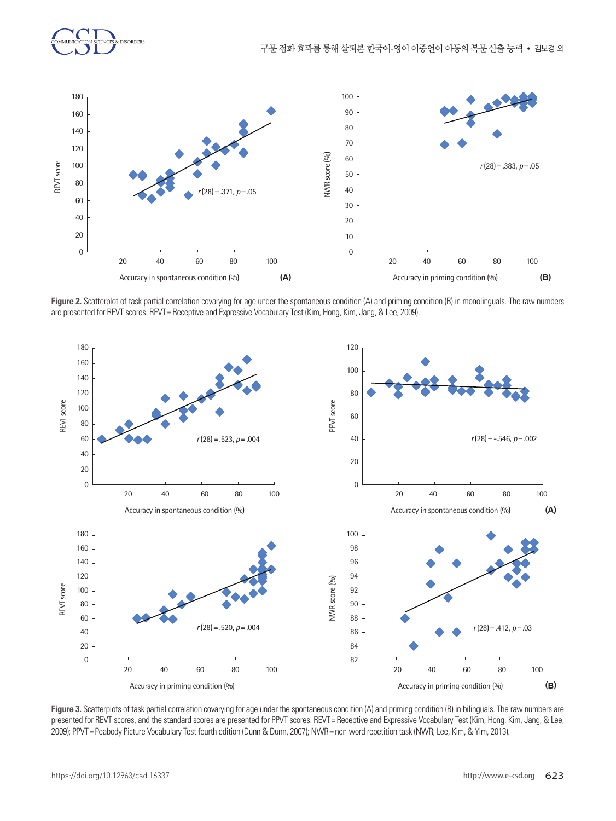

**Figure 2.** Scatterplot of task partial correlation covarying for age under the spontaneous condition (A) and priming condition (B) in monolinguals. The raw numbers in the raw numbers of the raw numbers of the raw numbers are presented for REVT scores. REVT = Receptive and Expressive Vocabulary Test (Kim, Hong, Kim, Jang, & Lee, 2009).<br>.



Figure 3. Scatterplots of task partial correlation covarying for age under the spontaneous condition (A) and priming condition (B) in bilinguals. The raw numbers are presented for REVT scores, and the standard scores are presented for PPVT scores. REVT = Receptive and Expressive Vocabulary Test (Kim, Hong, Kim, Jang, & Lee, .<br>2009); PPVT = Peabody Picture Vocabulary Test fourth edition (Dunn & Dunn, 2007); NWR = non-word repetition task (NWR; Lee, Kim, & Yim, 2013).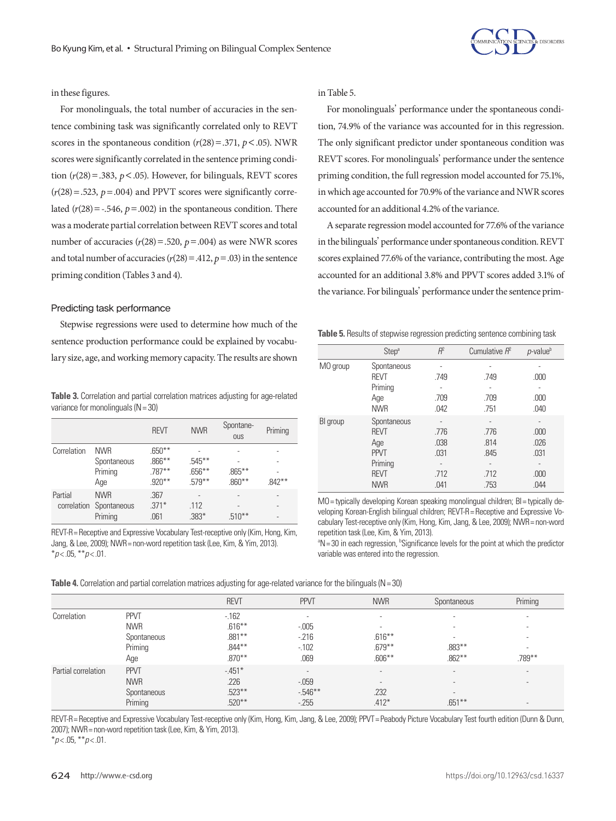

## in these figures.

For monolinguals, the total number of accuracies in the sentence combining task was significantly correlated only to REVT scores in the spontaneous condition  $(r(28) = .371, p < .05)$ . NWR scores were significantly correlated in the sentence priming condition  $(r(28) = .383, p < .05)$ . However, for bilinguals, REVT scores  $(r(28) = .523, p = .004)$  and PPVT scores were significantly correlated  $(r(28) = -.546, p = .002)$  in the spontaneous condition. There was a moderate partial correlation between REVT scores and total number of accuracies  $(r(28) = .520, p = .004)$  as were NWR scores and total number of accuracies  $(r(28) = .412, p = .03)$  in the sentence priming condition (Tables 3 and 4).

## Predicting task performance

Stepwise regressions were used to determine how much of the sentence production performance could be explained by vocabulary size, age, and working memory capacity. The results are shown

**Table 3.** Correlation and partial correlation matrices adjusting for age-related variance for monolinguals  $(N = 30)$ 

|             |                         | <b>REVT</b> | <b>NWR</b> | Spontane-<br><b>OUS</b> | Priming   |
|-------------|-------------------------|-------------|------------|-------------------------|-----------|
| Correlation | <b>NWR</b>              | $.650***$   |            |                         |           |
|             | Spontaneous             | $.866***$   | $.545***$  |                         |           |
|             | Priming                 | $.787***$   | $.656***$  | $.865***$               |           |
|             | Age                     | $.920***$   | $.579**$   | $.860***$               | $.842***$ |
| Partial     | <b>NWR</b>              | .367        |            |                         |           |
|             | correlation Spontaneous | $.371*$     | .112       |                         |           |
|             | Priming                 | .061        | $.383*$    | $.510***$               |           |

REVT-R= Receptive and Expressive Vocabulary Test-receptive only (Kim, Hong, Kim, Jang, & Lee, 2009); NWR= non-word repetition task (Lee, Kim, & Yim, 2013). \**p* < .05, \*\**p* < .01.

in Table 5.

For monolinguals' performance under the spontaneous condition, 74.9% of the variance was accounted for in this regression. The only significant predictor under spontaneous condition was REVT scores. For monolinguals' performance under the sentence priming condition, the full regression model accounted for 75.1%, in which age accounted for 70.9% of the variance and NWR scores accounted for an additional 4.2% of the variance.

A separate regression model accounted for 77.6% of the variance in the bilinguals' performance under spontaneous condition. REVT scores explained 77.6% of the variance, contributing the most. Age accounted for an additional 3.8% and PPVT scores added 3.1% of the variance. For bilinguals' performance under the sentence prim-

**Table 5.** Results of stepwise regression predicting sentence combining task

|          | Step <sup>a</sup>      | $R^2$                    | Cumulative $R^2$ | <i>p</i> -value <sup>b</sup> |
|----------|------------------------|--------------------------|------------------|------------------------------|
| MO group | Spontaneous            |                          |                  |                              |
|          | <b>REVT</b><br>Priming | .749                     | .749             | .000                         |
|          | Age<br><b>NWR</b>      | .709<br>.042             | .709<br>.751     | .000<br>.040                 |
| BI group | Spontaneous            | ٠                        | ٠                | ۰                            |
|          | <b>REVT</b>            | .776                     | .776             | .000                         |
|          | Age<br><b>PPVT</b>     | .038<br>.031             | .814<br>.845     | .026<br>.031                 |
|          | Priming                | $\overline{\phantom{a}}$ | ٠                | -                            |
|          | <b>REVT</b>            | .712                     | .712             | .000                         |
|          | <b>NWR</b>             | .041                     | .753             | .044                         |

MO= typically developing Korean speaking monolingual children; BI= typically developing Korean-English bilingual children; REVT-R= Receptive and Expressive Vocabulary Test-receptive only (Kim, Hong, Kim, Jang, & Lee, 2009); NWR= non-word repetition task (Lee, Kim, & Yim, 2013).

<sup>a</sup>N = 30 in each regression, <sup>b</sup>Significance levels for the point at which the predictor variable was entered into the regression.

|  |  | Table 4. Correlation and partial correlation matrices adjusting for age-related variance for the bilinguals ( $N = 30$ ) |
|--|--|--------------------------------------------------------------------------------------------------------------------------|
|  |  |                                                                                                                          |

|                     |             | <b>REVT</b> | <b>PPVT</b>              | <b>NWR</b>               | Spontaneous              | Priming                  |
|---------------------|-------------|-------------|--------------------------|--------------------------|--------------------------|--------------------------|
| Correlation         | <b>PPVT</b> | $-162$      | $\overline{\phantom{a}}$ | $\overline{\phantom{a}}$ | $\overline{\phantom{a}}$ | ۰                        |
|                     | <b>NWR</b>  | $.616***$   | $-0.005$                 | $\sim$                   | $\overline{\phantom{a}}$ | ۰                        |
|                     | Spontaneous | $.881***$   | $-216$                   | $.616***$                | $\overline{\phantom{a}}$ | $\sim$                   |
|                     | Priming     | $.844***$   | $-102$                   | $.679**$                 | $.883***$                | ۰                        |
|                     | Age         | $.870***$   | .069                     | $.606**$                 | $.862***$                | .789**                   |
| Partial correlation | <b>PPVT</b> | $-451*$     | $\overline{\phantom{a}}$ | $\overline{\phantom{a}}$ | $\overline{\phantom{a}}$ | $\overline{\phantom{a}}$ |
|                     | <b>NWR</b>  | .226        | $-0.059$                 | $\overline{\phantom{a}}$ | $\overline{\phantom{a}}$ | $\overline{\phantom{a}}$ |
|                     | Spontaneous | $.523***$   | $-546**$                 | .232                     | $\overline{\phantom{a}}$ |                          |
|                     | Priming     | $.520**$    | $-255$                   | $.412*$                  | $.651***$                | $\overline{\phantom{a}}$ |
|                     |             |             |                          |                          |                          |                          |

REVT-R= Receptive and Expressive Vocabulary Test-receptive only (Kim, Hong, Kim, Jang, & Lee, 2009); PPVT= Peabody Picture Vocabulary Test fourth edition (Dunn & Dunn, 2007); NWR= non-word repetition task (Lee, Kim, & Yim, 2013).

\**p* < .05, \*\**p* < .01.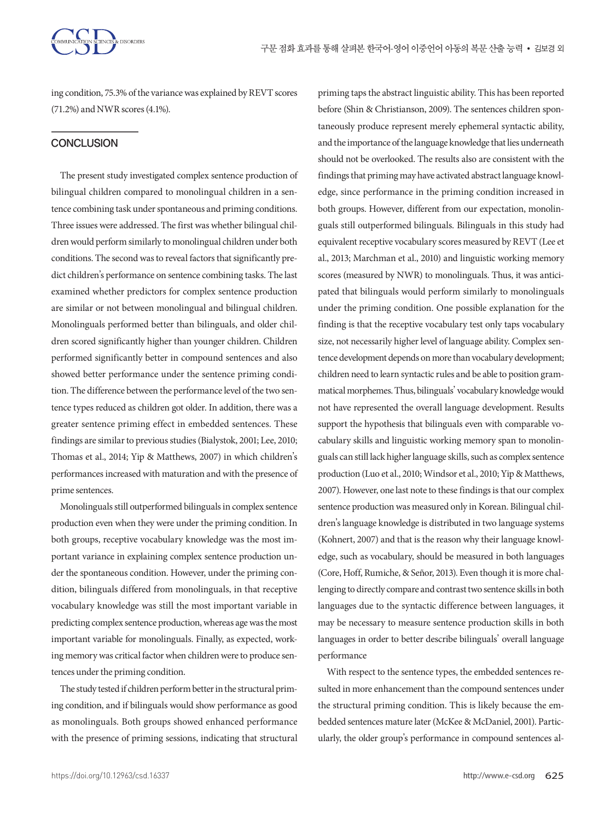ing condition, 75.3% of the variance was explained by REVT scores (71.2%) and NWR scores (4.1%).

## **CONCLUSION**

The present study investigated complex sentence production of bilingual children compared to monolingual children in a sentence combining task under spontaneous and priming conditions. Three issues were addressed. The first was whether bilingual children would perform similarly to monolingual children under both conditions. The second was to reveal factors that significantly predict children's performance on sentence combining tasks. The last examined whether predictors for complex sentence production are similar or not between monolingual and bilingual children. Monolinguals performed better than bilinguals, and older children scored significantly higher than younger children. Children performed significantly better in compound sentences and also showed better performance under the sentence priming condition. The difference between the performance level of the two sentence types reduced as children got older. In addition, there was a greater sentence priming effect in embedded sentences. These findings are similar to previous studies (Bialystok, 2001; Lee, 2010; Thomas et al., 2014; Yip & Matthews, 2007) in which children's performances increased with maturation and with the presence of prime sentences.

Monolinguals still outperformed bilinguals in complex sentence production even when they were under the priming condition. In both groups, receptive vocabulary knowledge was the most important variance in explaining complex sentence production under the spontaneous condition. However, under the priming condition, bilinguals differed from monolinguals, in that receptive vocabulary knowledge was still the most important variable in predicting complex sentence production, whereas age was the most important variable for monolinguals. Finally, as expected, working memory was critical factor when children were to produce sentences under the priming condition.

The study tested if children perform better in the structural priming condition, and if bilinguals would show performance as good as monolinguals. Both groups showed enhanced performance with the presence of priming sessions, indicating that structural priming taps the abstract linguistic ability. This has been reported before (Shin & Christianson, 2009). The sentences children spontaneously produce represent merely ephemeral syntactic ability, and the importance of the language knowledge that lies underneath should not be overlooked. The results also are consistent with the findings that priming may have activated abstract language knowledge, since performance in the priming condition increased in both groups. However, different from our expectation, monolinguals still outperformed bilinguals. Bilinguals in this study had equivalent receptive vocabulary scores measured by REVT (Lee et al., 2013; Marchman et al., 2010) and linguistic working memory scores (measured by NWR) to monolinguals. Thus, it was anticipated that bilinguals would perform similarly to monolinguals under the priming condition. One possible explanation for the finding is that the receptive vocabulary test only taps vocabulary size, not necessarily higher level of language ability. Complex sentence development depends on more than vocabulary development; children need to learn syntactic rules and be able to position grammatical morphemes. Thus, bilinguals' vocabulary knowledge would not have represented the overall language development. Results support the hypothesis that bilinguals even with comparable vocabulary skills and linguistic working memory span to monolinguals can still lack higher language skills, such as complex sentence production (Luo et al., 2010; Windsor et al., 2010; Yip & Matthews, 2007). However, one last note to these findings is that our complex sentence production was measured only in Korean. Bilingual children's language knowledge is distributed in two language systems (Kohnert, 2007) and that is the reason why their language knowledge, such as vocabulary, should be measured in both languages (Core, Hoff, Rumiche, & Señor, 2013). Even though it is more challenging to directly compare and contrast two sentence skills in both languages due to the syntactic difference between languages, it may be necessary to measure sentence production skills in both languages in order to better describe bilinguals' overall language performance

With respect to the sentence types, the embedded sentences resulted in more enhancement than the compound sentences under the structural priming condition. This is likely because the embedded sentences mature later (McKee & McDaniel, 2001). Particularly, the older group's performance in compound sentences al-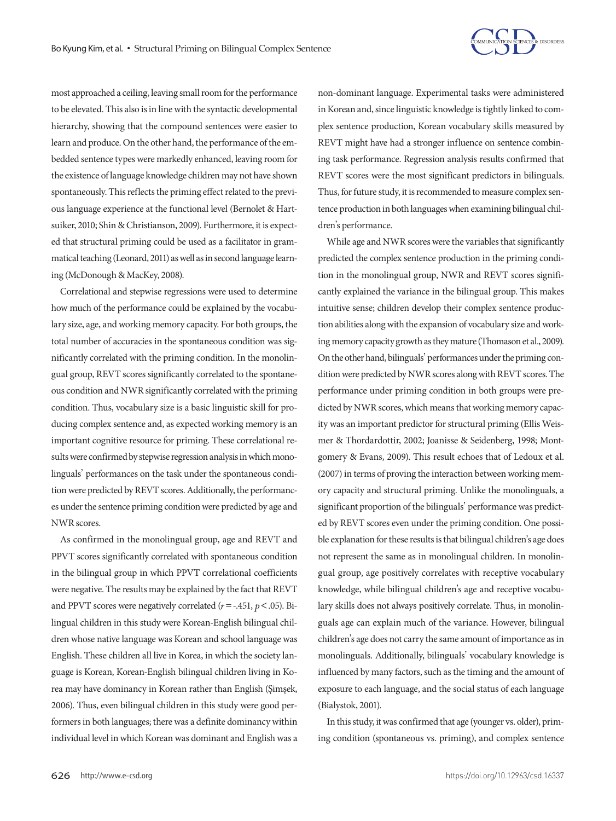

most approached a ceiling, leaving small room for the performance to be elevated. This also is in line with the syntactic developmental hierarchy, showing that the compound sentences were easier to learn and produce. On the other hand, the performance of the embedded sentence types were markedly enhanced, leaving room for the existence of language knowledge children may not have shown spontaneously. This reflects the priming effect related to the previous language experience at the functional level (Bernolet & Hartsuiker, 2010; Shin & Christianson, 2009). Furthermore, it is expected that structural priming could be used as a facilitator in grammatical teaching (Leonard, 2011) as well as in second language learning (McDonough & MacKey, 2008).

Correlational and stepwise regressions were used to determine how much of the performance could be explained by the vocabulary size, age, and working memory capacity. For both groups, the total number of accuracies in the spontaneous condition was significantly correlated with the priming condition. In the monolingual group, REVT scores significantly correlated to the spontaneous condition and NWR significantly correlated with the priming condition. Thus, vocabulary size is a basic linguistic skill for producing complex sentence and, as expected working memory is an important cognitive resource for priming. These correlational results were confirmed by stepwise regression analysis in which monolinguals' performances on the task under the spontaneous condition were predicted by REVT scores. Additionally, the performances under the sentence priming condition were predicted by age and NWR scores.

As confirmed in the monolingual group, age and REVT and PPVT scores significantly correlated with spontaneous condition in the bilingual group in which PPVT correlational coefficients were negative. The results may be explained by the fact that REVT and PPVT scores were negatively correlated (*r*=-.451, *p*<.05). Bilingual children in this study were Korean-English bilingual children whose native language was Korean and school language was English. These children all live in Korea, in which the society language is Korean, Korean-English bilingual children living in Korea may have dominancy in Korean rather than English (Şimşek, 2006). Thus, even bilingual children in this study were good performers in both languages; there was a definite dominancy within individual level in which Korean was dominant and English was a

non-dominant language. Experimental tasks were administered in Korean and, since linguistic knowledge is tightly linked to complex sentence production, Korean vocabulary skills measured by REVT might have had a stronger influence on sentence combining task performance. Regression analysis results confirmed that REVT scores were the most significant predictors in bilinguals. Thus, for future study, it is recommended to measure complex sentence production in both languages when examining bilingual children's performance.

While age and NWR scores were the variables that significantly predicted the complex sentence production in the priming condition in the monolingual group, NWR and REVT scores significantly explained the variance in the bilingual group. This makes intuitive sense; children develop their complex sentence production abilities along with the expansion of vocabulary size and working memory capacity growth as they mature (Thomason et al., 2009). On the other hand, bilinguals' performances under the priming condition were predicted by NWR scores along with REVT scores. The performance under priming condition in both groups were predicted by NWR scores, which means that working memory capacity was an important predictor for structural priming (Ellis Weismer & Thordardottir, 2002; Joanisse & Seidenberg, 1998; Montgomery & Evans, 2009). This result echoes that of Ledoux et al. (2007) in terms of proving the interaction between working memory capacity and structural priming. Unlike the monolinguals, a significant proportion of the bilinguals' performance was predicted by REVT scores even under the priming condition. One possible explanation for these results is that bilingual children's age does not represent the same as in monolingual children. In monolingual group, age positively correlates with receptive vocabulary knowledge, while bilingual children's age and receptive vocabulary skills does not always positively correlate. Thus, in monolinguals age can explain much of the variance. However, bilingual children's age does not carry the same amount of importance as in monolinguals. Additionally, bilinguals' vocabulary knowledge is influenced by many factors, such as the timing and the amount of exposure to each language, and the social status of each language (Bialystok, 2001).

In this study, it was confirmed that age (younger vs. older), priming condition (spontaneous vs. priming), and complex sentence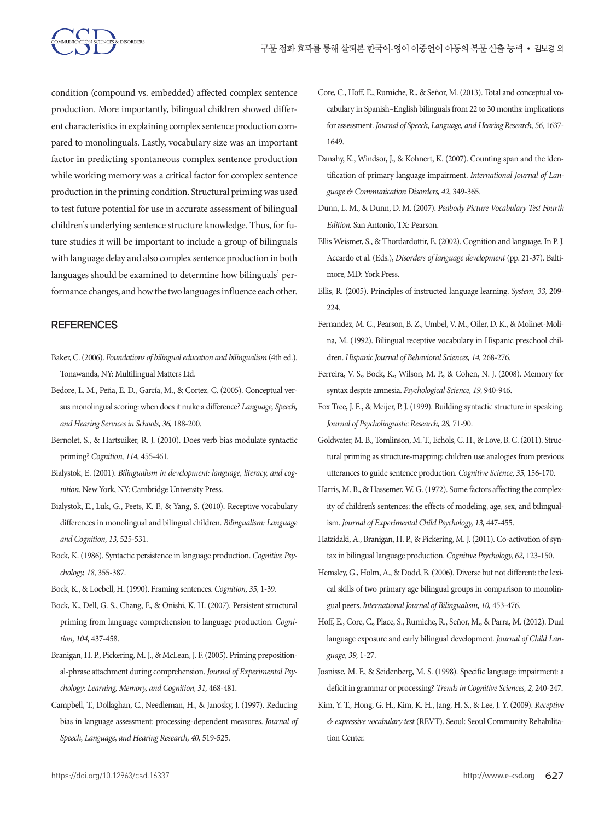

condition (compound vs. embedded) affected complex sentence production. More importantly, bilingual children showed different characteristics in explaining complex sentence production compared to monolinguals. Lastly, vocabulary size was an important factor in predicting spontaneous complex sentence production while working memory was a critical factor for complex sentence production in the priming condition. Structural priming was used to test future potential for use in accurate assessment of bilingual children's underlying sentence structure knowledge. Thus, for future studies it will be important to include a group of bilinguals with language delay and also complex sentence production in both languages should be examined to determine how bilinguals' performance changes, and how the two languages influence each other.

## **REFERENCES**

- Baker, C. (2006). *Foundations of bilingual education and bilingualism* (4th ed.). Tonawanda, NY: Multilingual Matters Ltd.
- Bedore, L. M., Peña, E. D., García, M., & Cortez, C. (2005). Conceptual versus monolingual scoring: when does it make a difference? *Language, Speech, and Hearing Services in Schools, 36,* 188-200.
- Bernolet, S., & Hartsuiker, R. J. (2010). Does verb bias modulate syntactic priming? *Cognition, 114,* 455-461.
- Bialystok, E. (2001). *Bilingualism in development: language, literacy, and cognition.* New York, NY: Cambridge University Press.
- Bialystok, E., Luk, G., Peets, K. F., & Yang, S. (2010). Receptive vocabulary differences in monolingual and bilingual children. *Bilingualism: Language and Cognition, 13,* 525-531.
- Bock, K. (1986). Syntactic persistence in language production. *Cognitive Psychology, 18,* 355-387.
- Bock, K., & Loebell, H. (1990). Framing sentences. *Cognition, 35,* 1-39.
- Bock, K., Dell, G. S., Chang, F., & Onishi, K. H. (2007). Persistent structural priming from language comprehension to language production. *Cognition, 104,* 437-458.
- Branigan, H. P., Pickering, M. J., & McLean, J. F. (2005). Priming prepositional-phrase attachment during comprehension. *Journal of Experimental Psychology: Learning, Memory, and Cognition, 31,* 468-481.
- Campbell, T., Dollaghan, C., Needleman, H., & Janosky, J. (1997). Reducing bias in language assessment: processing-dependent measures. *Journal of Speech, Language, and Hearing Research, 40,* 519-525.
- Core, C., Hoff, E., Rumiche, R., & Señor, M. (2013). Total and conceptual vocabulary in Spanish–English bilinguals from 22 to 30 months: implications for assessment. Journal of Speech, Language, and Hearing Research, 56, 1637-1649.
- Danahy, K., Windsor, J., & Kohnert, K. (2007). Counting span and the identification of primary language impairment. *International Journal of Language & Communication Disorders, 42,* 349-365.
- Dunn, L. M., & Dunn, D. M. (2007). *Peabody Picture Vocabulary Test Fourth Edition.* San Antonio, TX: Pearson.
- Ellis Weismer, S., & Thordardottir, E. (2002). Cognition and language. In P. J. Accardo et al. (Eds.), *Disorders of language development* (pp. 21-37). Baltimore, MD: York Press.
- Ellis, R. (2005). Principles of instructed language learning. *System, 33,* 209- 224.
- Fernandez, M. C., Pearson, B. Z., Umbel, V. M., Oiler, D. K., & Molinet-Molina, M. (1992). Bilingual receptive vocabulary in Hispanic preschool children. *Hispanic Journal of Behavioral Sciences, 14,* 268-276.
- Ferreira, V. S., Bock, K., Wilson, M. P., & Cohen, N. J. (2008). Memory for syntax despite amnesia. *Psychological Science, 19,* 940-946.
- Fox Tree, J. E., & Meijer, P. J. (1999). Building syntactic structure in speaking. *Journal of Psycholinguistic Research, 28,* 71-90.
- Goldwater, M. B., Tomlinson, M. T., Echols, C. H., & Love, B. C. (2011). Structural priming as structure‐mapping: children use analogies from previous utterances to guide sentence production. *Cognitive Science, 35,* 156-170.
- Harris, M. B., & Hassemer, W. G. (1972). Some factors affecting the complexity of children's sentences: the effects of modeling, age, sex, and bilingualism. *Journal of Experimental Child Psychology, 13,* 447-455.
- Hatzidaki, A., Branigan, H. P., & Pickering, M. J. (2011). Co-activation of syntax in bilingual language production. *Cognitive Psychology, 62,* 123-150.
- Hemsley, G., Holm, A., & Dodd, B. (2006). Diverse but not different: the lexical skills of two primary age bilingual groups in comparison to monolingual peers. *International Journal of Bilingualism, 10,* 453-476.
- Hoff, E., Core, C., Place, S., Rumiche, R., Señor, M., & Parra, M. (2012). Dual language exposure and early bilingual development. *Journal of Child Language, 39,* 1-27.
- Joanisse, M. F., & Seidenberg, M. S. (1998). Specific language impairment: a deficit in grammar or processing? *Trends in Cognitive Sciences, 2,* 240-247.
- Kim, Y. T., Hong, G. H., Kim, K. H., Jang, H. S., & Lee, J. Y. (2009). *Receptive & expressive vocabulary test* (REVT). Seoul: Seoul Community Rehabilitation Center.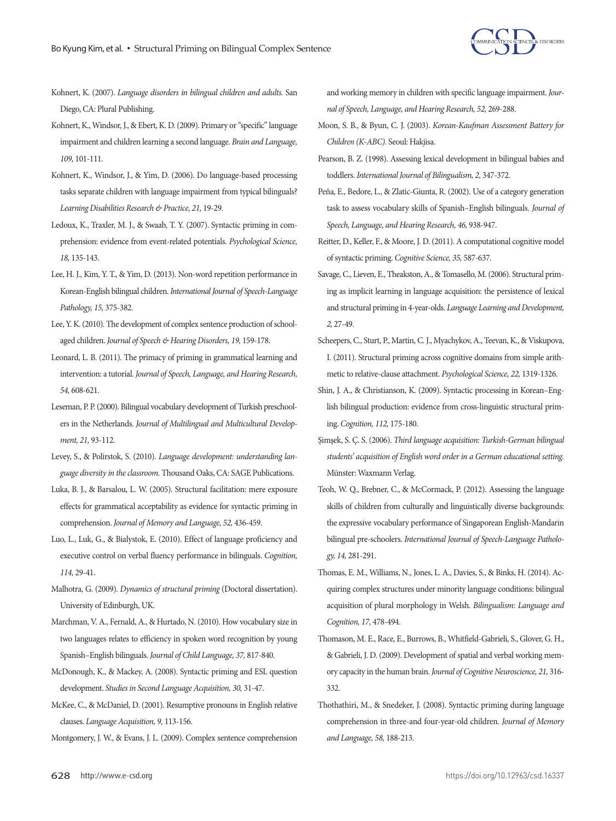

- Kohnert, K. (2007). *Language disorders in bilingual children and adults.* San Diego, CA: Plural Publishing.
- Kohnert, K., Windsor, J., & Ebert, K. D. (2009). Primary or "specific" language impairment and children learning a second language. *Brain and Language, 109,* 101-111.
- Kohnert, K., Windsor, J., & Yim, D. (2006). Do language-based processing tasks separate children with language impairment from typical bilinguals? *Learning Disabilities Research & Practice, 21,* 19-29.
- Ledoux, K., Traxler, M. J., & Swaab, T. Y. (2007). Syntactic priming in comprehension: evidence from event-related potentials. *Psychological Science, 18,* 135-143.
- Lee, H. J., Kim, Y. T., & Yim, D. (2013). Non-word repetition performance in Korean-English bilingual children. *International Journal of Speech-Language Pathology, 15,* 375-382.
- Lee, Y. K. (2010). The development of complex sentence production of schoolaged children. *Journal of Speech & Hearing Disorders, 19,* 159-178.
- Leonard, L. B. (2011). The primacy of priming in grammatical learning and intervention: a tutorial. *Journal of Speech, Language, and Hearing Research, 54,* 608-621.
- Leseman, P. P. (2000). Bilingual vocabulary development of Turkish preschoolers in the Netherlands. *Journal of Multilingual and Multicultural Development, 21,* 93-112.
- Levey, S., & Polirstok, S. (2010). *Language development: understanding language diversity in the classroom.* Thousand Oaks, CA: SAGE Publications.
- Luka, B. J., & Barsalou, L. W. (2005). Structural facilitation: mere exposure effects for grammatical acceptability as evidence for syntactic priming in comprehension. *Journal of Memory and Language, 52,* 436-459.
- Luo, L., Luk, G., & Bialystok, E. (2010). Effect of language proficiency and executive control on verbal fluency performance in bilinguals. *Cognition, 114,* 29-41.
- Malhotra, G. (2009). *Dynamics of structural priming* (Doctoral dissertation). University of Edinburgh, UK.
- Marchman, V. A., Fernald, A., & Hurtado, N. (2010). How vocabulary size in two languages relates to efficiency in spoken word recognition by young Spanish–English bilinguals. *Journal of Child Language, 37,* 817-840.
- McDonough, K., & Mackey, A. (2008). Syntactic priming and ESL question development. *Studies in Second Language Acquisition, 30,* 31-47.
- McKee, C., & McDaniel, D. (2001). Resumptive pronouns in English relative clauses. *Language Acquisition, 9,* 113-156.
- Montgomery, J. W., & Evans, J. L. (2009). Complex sentence comprehension

and working memory in children with specific language impairment. *Journal of Speech, Language, and Hearing Research, 52,* 269-288.

- Moon, S. B., & Byun, C. J. (2003). *Korean-Kaufman Assessment Battery for Children (K-ABC).* Seoul: Hakjisa.
- Pearson, B. Z. (1998). Assessing lexical development in bilingual babies and toddlers. *International Journal of Bilingualism, 2,* 347-372.
- Peña, E., Bedore, L., & Zlatic-Giunta, R. (2002). Use of a category generation task to assess vocabulary skills of Spanish–English bilinguals. *Journal of Speech, Language, and Hearing Research, 46,* 938-947.
- Reitter, D., Keller, F., & Moore, J. D. (2011). A computational cognitive model of syntactic priming. *Cognitive Science, 35,* 587-637.
- Savage, C., Lieven, E., Theakston, A., & Tomasello, M. (2006). Structural priming as implicit learning in language acquisition: the persistence of lexical and structural priming in 4-year-olds. *Language Learning and Development, 2,* 27-49.
- Scheepers, C., Sturt, P., Martin, C. J., Myachykov, A., Teevan, K., & Viskupova, I. (2011). Structural priming across cognitive domains from simple arithmetic to relative-clause attachment. *Psychological Science, 22,* 1319-1326.
- Shin, J. A., & Christianson, K. (2009). Syntactic processing in Korean–English bilingual production: evidence from cross-linguistic structural priming. *Cognition, 112,* 175-180.
- Şimşek, S. Ç. S. (2006). *Third language acquisition: Turkish-German bilingual students' acquisition of English word order in a German educational setting.*  Münster: Waxmann Verlag.
- Teoh, W. Q., Brebner, C., & McCormack, P. (2012). Assessing the language skills of children from culturally and linguistically diverse backgrounds: the expressive vocabulary performance of Singaporean English-Mandarin bilingual pre-schoolers. *International Journal of Speech-Language Pathology, 14,* 281-291.
- Thomas, E. M., Williams, N., Jones, L. A., Davies, S., & Binks, H. (2014). Acquiring complex structures under minority language conditions: bilingual acquisition of plural morphology in Welsh. *Bilingualism: Language and Cognition, 17,* 478-494.
- Thomason, M. E., Race, E., Burrows, B., Whitfield-Gabrieli, S., Glover, G. H., & Gabrieli, J. D. (2009). Development of spatial and verbal working memory capacity in the human brain. *Journal of Cognitive Neuroscience, 21,* 316- 332.
- Thothathiri, M., & Snedeker, J. (2008). Syntactic priming during language comprehension in three-and four-year-old children. *Journal of Memory and Language, 58,* 188-213.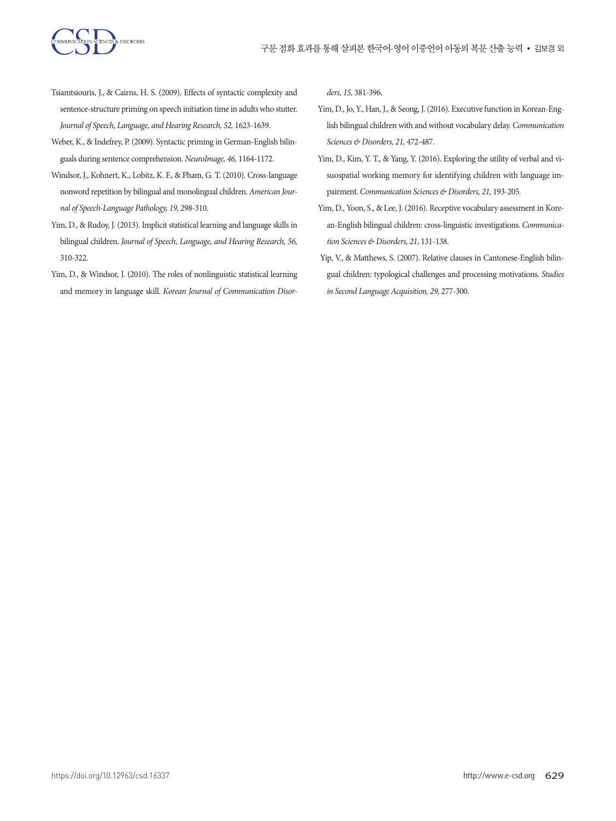

- Tsiamtsiouris, J., & Cairns, H. S. (2009). Effects of syntactic complexity and sentence-structure priming on speech initiation time in adults who stutter. *Journal of Speech, Language, and Hearing Research, 52,* 1623-1639.
- Weber, K., & Indefrey, P. (2009). Syntactic priming in German-English bilinguals during sentence comprehension. *NeuroImage, 46,* 1164-1172.
- Windsor, J., Kohnert, K., Lobitz, K. F., & Pham, G. T. (2010). Cross-language nonword repetition by bilingual and monolingual children. *American Journal of Speech-Language Pathology, 19,* 298-310.
- Yim, D., & Rudoy, J. (2013). Implicit statistical learning and language skills in bilingual children. *Journal of Speech, Language, and Hearing Research, 56,* 310-322.
- Yim, D., & Windsor, J. (2010). The roles of nonlinguistic statistical learning and memory in language skill. *Korean Journal of Communication Disor-*

*ders, 15,* 381-396.

- Yim, D., Jo, Y., Han, J., & Seong, J. (2016). Executive function in Korean-English bilingual children with and without vocabulary delay. *Communication Sciences & Disorders, 21,* 472-487.
- Yim, D., Kim, Y. T., & Yang, Y. (2016). Exploring the utility of verbal and visuospatial working memory for identifying children with language impairment. *Communication Sciences & Disorders, 21,* 193-205.
- Yim, D., Yoon, S., & Lee, J. (2016). Receptive vocabulary assessment in Korean-English bilingual children: cross-linguistic investigations. *Communication Sciences & Disorders, 21,* 131-138.
- Yip, V., & Matthews, S. (2007). Relative clauses in Cantonese-English bilingual children: typological challenges and processing motivations. *Studies in Second Language Acquisition, 29,* 277-300.